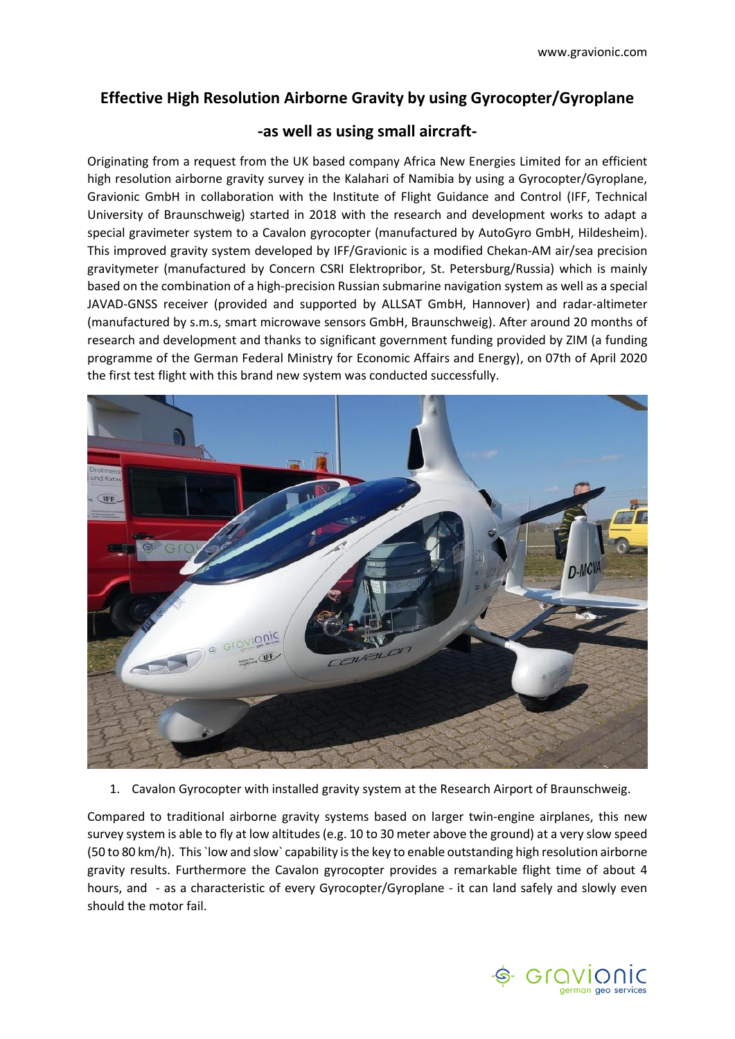## **Effective High Resolution Airborne Gravity by using Gyrocopter/Gyroplane**

## **-as well as using small aircraft-**

Originating from a request from the UK based company Africa New Energies Limited for an efficient high resolution airborne gravity survey in the Kalahari of Namibia by using a Gyrocopter/Gyroplane, Gravionic GmbH in collaboration with the Institute of Flight Guidance and Control (IFF, Technical University of Braunschweig) started in 2018 with the research and development works to adapt a special gravimeter system to a Cavalon gyrocopter (manufactured by AutoGyro GmbH, Hildesheim). This improved gravity system developed by IFF/Gravionic is a modified Chekan-AM air/sea precision gravitymeter (manufactured by Concern CSRI Elektropribor, St. Petersburg/Russia) which is mainly based on the combination of a high-precision Russian submarine navigation system as well as a special JAVAD-GNSS receiver (provided and supported by ALLSAT GmbH, Hannover) and radar-altimeter (manufactured by s.m.s, smart microwave sensors GmbH, Braunschweig). After around 20 months of research and development and thanks to significant government funding provided by ZIM (a funding programme of the German Federal Ministry for Economic Affairs and Energy), on 07th of April 2020 the first test flight with this brand new system was conducted successfully.



1. Cavalon Gyrocopter with installed gravity system at the Research Airport of Braunschweig.

Compared to traditional airborne gravity systems based on larger twin-engine airplanes, this new survey system is able to fly at low altitudes (e.g. 10 to 30 meter above the ground) at a very slow speed (50 to 80 km/h). This`low and slow` capability is the key to enable outstanding high resolution airborne gravity results. Furthermore the Cavalon gyrocopter provides a remarkable flight time of about 4 hours, and - as a characteristic of every Gyrocopter/Gyroplane - it can land safely and slowly even should the motor fail.

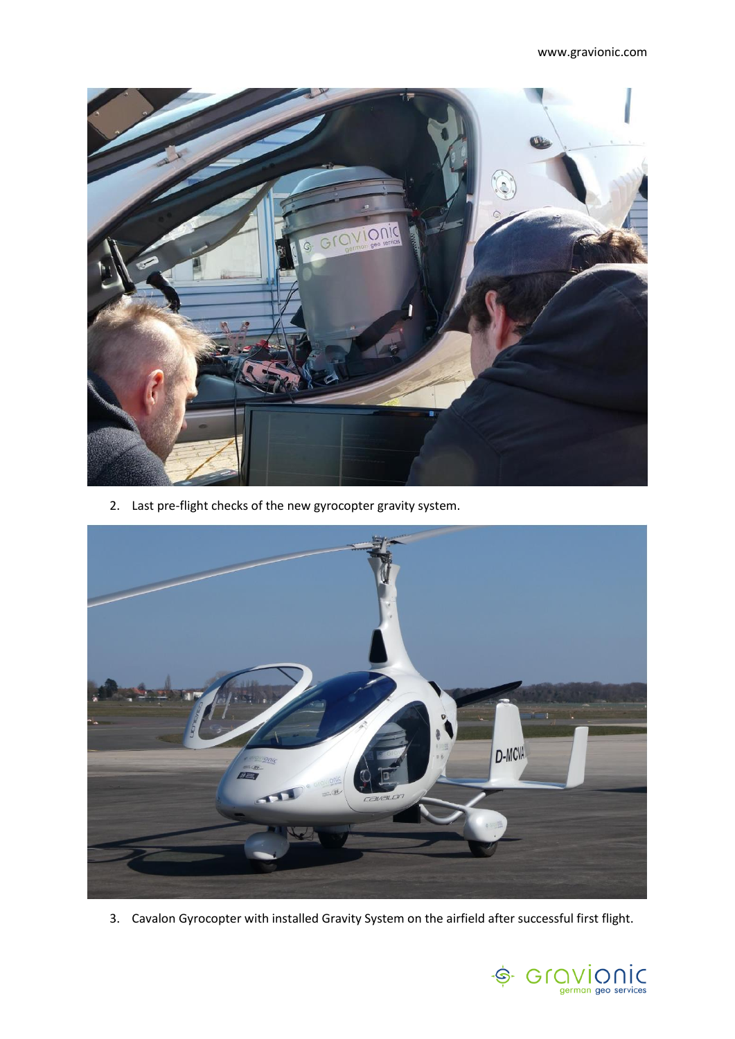

2. Last pre-flight checks of the new gyrocopter gravity system.



3. Cavalon Gyrocopter with installed Gravity System on the airfield after successful first flight.